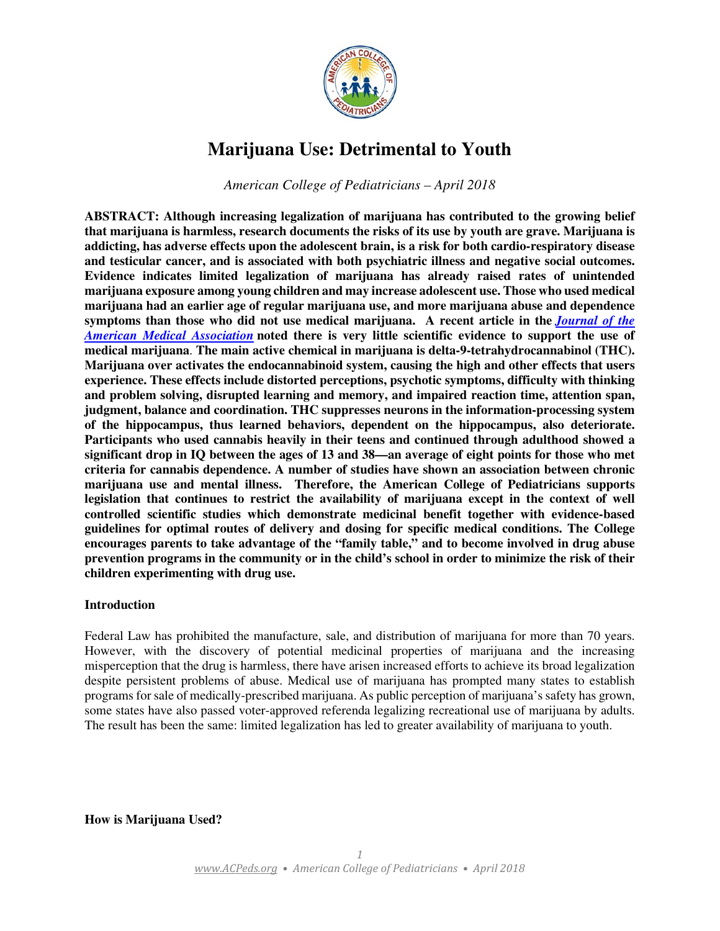

# **Marijuana Use: Detrimental to Youth**

*American College of Pediatricians – April 2018*

**ABSTRACT: Although increasing legalization of marijuana has contributed to the growing belief that marijuana is harmless, research documents the risks of its use by youth are grave. Marijuana is addicting, has adverse effects upon the adolescent brain, is a risk for both cardio-respiratory disease and testicular cancer, and is associated with both psychiatric illness and negative social outcomes. Evidence indicates limited legalization of marijuana has already raised rates of unintended marijuana exposure among young children and may increase adolescent use. Those who used medical marijuana had an earlier age of regular marijuana use, and more marijuana abuse and dependence symptoms than those who did not use medical marijuana. A recent article in the** *Journal of the American Medical Association* **noted there is very little scientific evidence to support the use of medical marijuana**. **The main active chemical in marijuana is delta-9-tetrahydrocannabinol (THC). Marijuana over activates the endocannabinoid system, causing the high and other effects that users experience. These effects include distorted perceptions, psychotic symptoms, difficulty with thinking and problem solving, disrupted learning and memory, and impaired reaction time, attention span, judgment, balance and coordination. THC suppresses neurons in the information-processing system of the hippocampus, thus learned behaviors, dependent on the hippocampus, also deteriorate. Participants who used cannabis heavily in their teens and continued through adulthood showed a significant drop in IQ between the ages of 13 and 38—an average of eight points for those who met criteria for cannabis dependence. A number of studies have shown an association between chronic marijuana use and mental illness. Therefore, the American College of Pediatricians supports legislation that continues to restrict the availability of marijuana except in the context of well controlled scientific studies which demonstrate medicinal benefit together with evidence-based guidelines for optimal routes of delivery and dosing for specific medical conditions. The College encourages parents to take advantage of the "family table," and to become involved in drug abuse prevention programs in the community or in the child's school in order to minimize the risk of their children experimenting with drug use.**

# **Introduction**

Federal Law has prohibited the manufacture, sale, and distribution of marijuana for more than 70 years. However, with the discovery of potential medicinal properties of marijuana and the increasing misperception that the drug is harmless, there have arisen increased efforts to achieve its broad legalization despite persistent problems of abuse. Medical use of marijuana has prompted many states to establish programs for sale of medically-prescribed marijuana. As public perception of marijuana's safety has grown, some states have also passed voter-approved referenda legalizing recreational use of marijuana by adults. The result has been the same: limited legalization has led to greater availability of marijuana to youth.

**How is Marijuana Used?**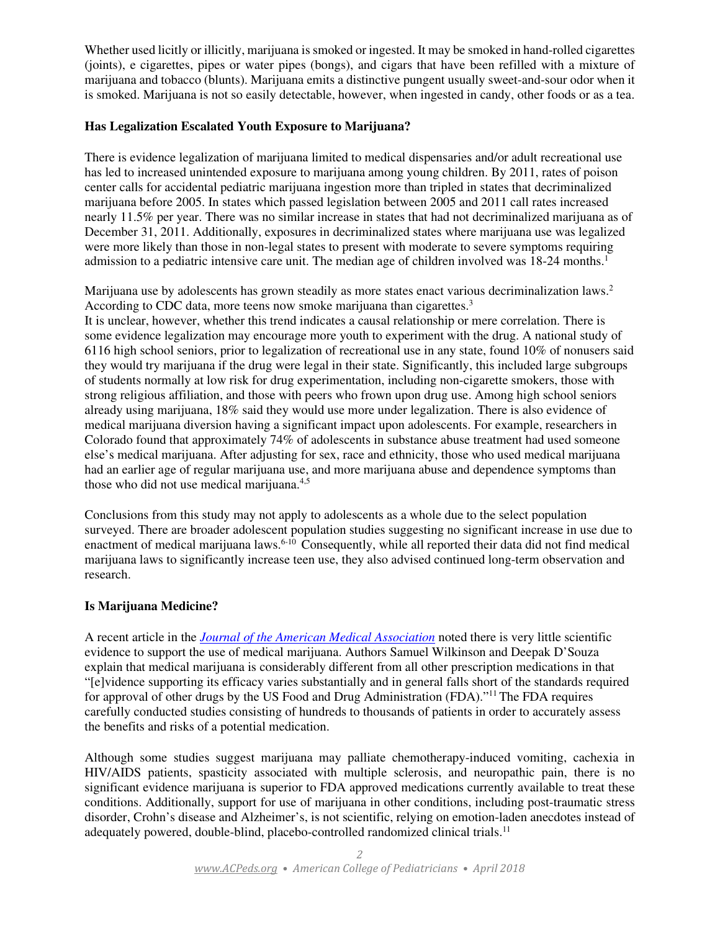Whether used licitly or illicitly, marijuana is smoked or ingested. It may be smoked in hand-rolled cigarettes (joints), e cigarettes, pipes or water pipes (bongs), and cigars that have been refilled with a mixture of marijuana and tobacco (blunts). Marijuana emits a distinctive pungent usually sweet-and-sour odor when it is smoked. Marijuana is not so easily detectable, however, when ingested in candy, other foods or as a tea.

# **Has Legalization Escalated Youth Exposure to Marijuana?**

There is evidence legalization of marijuana limited to medical dispensaries and/or adult recreational use has led to increased unintended exposure to marijuana among young children. By 2011, rates of poison center calls for accidental pediatric marijuana ingestion more than tripled in states that decriminalized marijuana before 2005. In states which passed legislation between 2005 and 2011 call rates increased nearly 11.5% per year. There was no similar increase in states that had not decriminalized marijuana as of December 31, 2011. Additionally, exposures in decriminalized states where marijuana use was legalized were more likely than those in non-legal states to present with moderate to severe symptoms requiring admission to a pediatric intensive care unit. The median age of children involved was  $18-24$  months.<sup>1</sup>

Marijuana use by adolescents has grown steadily as more states enact various decriminalization laws.<sup>2</sup> According to CDC data, more teens now smoke marijuana than cigarettes.<sup>3</sup> It is unclear, however, whether this trend indicates a causal relationship or mere correlation. There is some evidence legalization may encourage more youth to experiment with the drug. A national study of 6116 high school seniors, prior to legalization of recreational use in any state, found 10% of nonusers said they would try marijuana if the drug were legal in their state. Significantly, this included large subgroups of students normally at low risk for drug experimentation, including non-cigarette smokers, those with strong religious affiliation, and those with peers who frown upon drug use. Among high school seniors already using marijuana, 18% said they would use more under legalization. There is also evidence of medical marijuana diversion having a significant impact upon adolescents. For example, researchers in Colorado found that approximately 74% of adolescents in substance abuse treatment had used someone

else's medical marijuana. After adjusting for sex, race and ethnicity, those who used medical marijuana had an earlier age of regular marijuana use, and more marijuana abuse and dependence symptoms than those who did not use medical marijuana.<sup>4,5</sup>

Conclusions from this study may not apply to adolescents as a whole due to the select population surveyed. There are broader adolescent population studies suggesting no significant increase in use due to enactment of medical marijuana laws.<sup>6-10</sup> Consequently, while all reported their data did not find medical marijuana laws to significantly increase teen use, they also advised continued long-term observation and research.

# **Is Marijuana Medicine?**

A recent article in the *Journal of the American Medical Association* noted there is very little scientific evidence to support the use of medical marijuana. Authors Samuel Wilkinson and Deepak D'Souza explain that medical marijuana is considerably different from all other prescription medications in that "[e]vidence supporting its efficacy varies substantially and in general falls short of the standards required for approval of other drugs by the US Food and Drug Administration (FDA)."<sup>11</sup> The FDA requires carefully conducted studies consisting of hundreds to thousands of patients in order to accurately assess the benefits and risks of a potential medication.

Although some studies suggest marijuana may palliate chemotherapy-induced vomiting, cachexia in HIV/AIDS patients, spasticity associated with multiple sclerosis, and neuropathic pain, there is no significant evidence marijuana is superior to FDA approved medications currently available to treat these conditions. Additionally, support for use of marijuana in other conditions, including post-traumatic stress disorder, Crohn's disease and Alzheimer's, is not scientific, relying on emotion-laden anecdotes instead of adequately powered, double-blind, placebo-controlled randomized clinical trials.11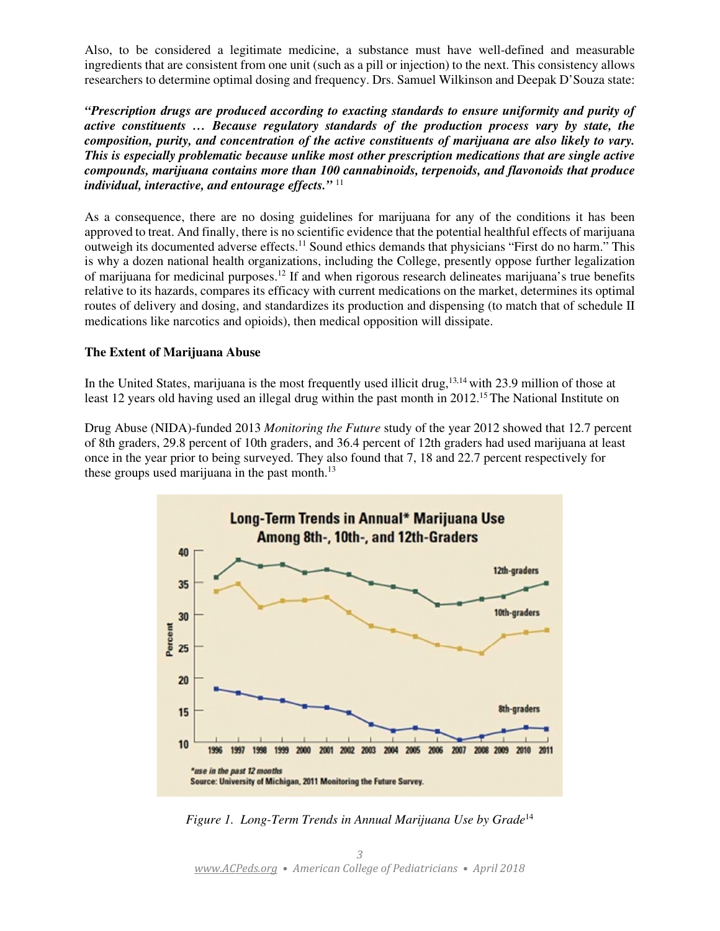Also, to be considered a legitimate medicine, a substance must have well-defined and measurable ingredients that are consistent from one unit (such as a pill or injection) to the next. This consistency allows researchers to determine optimal dosing and frequency. Drs. Samuel Wilkinson and Deepak D'Souza state:

*"Prescription drugs are produced according to exacting standards to ensure uniformity and purity of active constituents … Because regulatory standards of the production process vary by state, the composition, purity, and concentration of the active constituents of marijuana are also likely to vary. This is especially problematic because unlike most other prescription medications that are single active compounds, marijuana contains more than 100 cannabinoids, terpenoids, and flavonoids that produce individual, interactive, and entourage effects."* <sup>11</sup>

As a consequence, there are no dosing guidelines for marijuana for any of the conditions it has been approved to treat. And finally, there is no scientific evidence that the potential healthful effects of marijuana outweigh its documented adverse effects.<sup>11</sup> Sound ethics demands that physicians "First do no harm." This is why a dozen national health organizations, including the College, presently oppose further legalization of marijuana for medicinal purposes.<sup>12</sup> If and when rigorous research delineates marijuana's true benefits relative to its hazards, compares its efficacy with current medications on the market, determines its optimal routes of delivery and dosing, and standardizes its production and dispensing (to match that of schedule II medications like narcotics and opioids), then medical opposition will dissipate.

# **The Extent of Marijuana Abuse**

In the United States, marijuana is the most frequently used illicit drug,<sup>13,14</sup> with 23.9 million of those at least 12 years old having used an illegal drug within the past month in 2012.<sup>15</sup> The National Institute on

Drug Abuse (NIDA)-funded 2013 *Monitoring the Future* study of the year 2012 showed that 12.7 percent of 8th graders, 29.8 percent of 10th graders, and 36.4 percent of 12th graders had used marijuana at least once in the year prior to being surveyed. They also found that 7, 18 and 22.7 percent respectively for these groups used marijuana in the past month. $^{13}$ 



*Figure 1. Long-Term Trends in Annual Marijuana Use by Grade*14

3 www.ACPeds.org • American College of Pediatricians • April 2018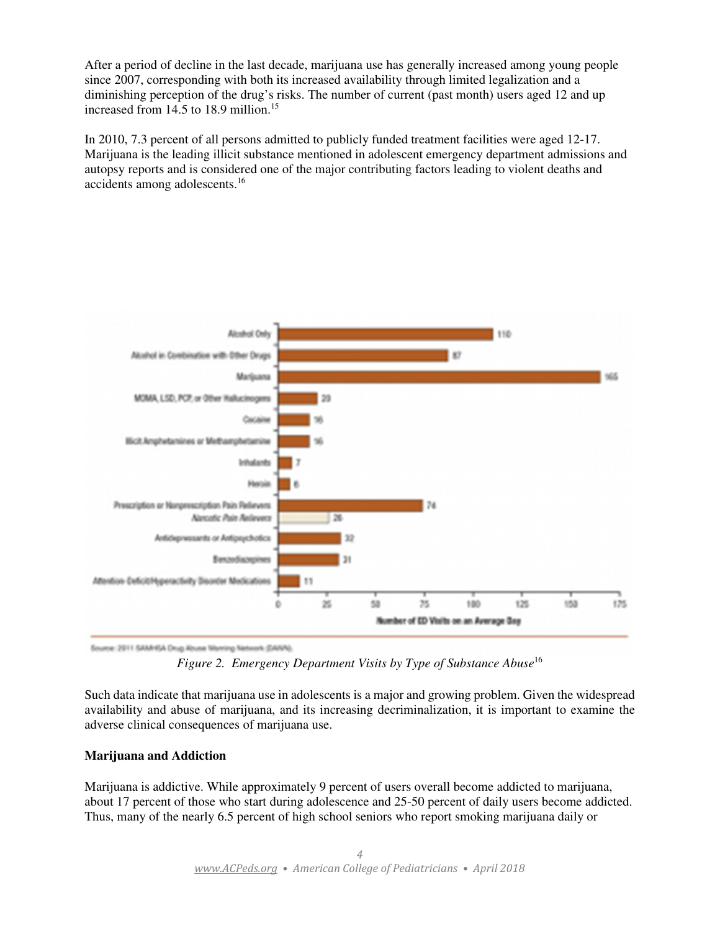After a period of decline in the last decade, marijuana use has generally increased among young people since 2007, corresponding with both its increased availability through limited legalization and a diminishing perception of the drug's risks. The number of current (past month) users aged 12 and up increased from 14.5 to 18.9 million.<sup>15</sup>

In 2010, 7.3 percent of all persons admitted to publicly funded treatment facilities were aged 12-17. Marijuana is the leading illicit substance mentioned in adolescent emergency department admissions and autopsy reports and is considered one of the major contributing factors leading to violent deaths and accidents among adolescents.<sup>16</sup>



Source: 2011 SAMHSA Drug Abuse Maming Network (SANN).

*Figure 2. Emergency Department Visits by Type of Substance Abuse*<sup>16</sup>

Such data indicate that marijuana use in adolescents is a major and growing problem. Given the widespread availability and abuse of marijuana, and its increasing decriminalization, it is important to examine the adverse clinical consequences of marijuana use.

# **Marijuana and Addiction**

Marijuana is addictive. While approximately 9 percent of users overall become addicted to marijuana, about 17 percent of those who start during adolescence and 25-50 percent of daily users become addicted. Thus, many of the nearly 6.5 percent of high school seniors who report smoking marijuana daily or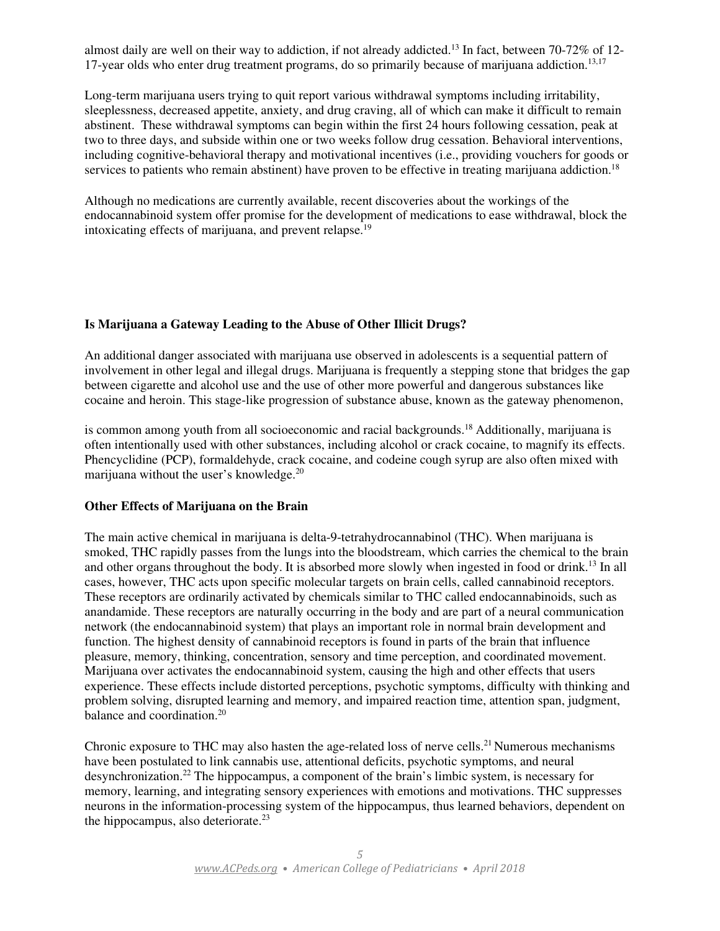almost daily are well on their way to addiction, if not already addicted.<sup>13</sup> In fact, between 70-72% of 12-17-year olds who enter drug treatment programs, do so primarily because of marijuana addiction.<sup>13,17</sup>

Long-term marijuana users trying to quit report various withdrawal symptoms including irritability, sleeplessness, decreased appetite, anxiety, and drug craving, all of which can make it difficult to remain abstinent. These withdrawal symptoms can begin within the first 24 hours following cessation, peak at two to three days, and subside within one or two weeks follow drug cessation. Behavioral interventions, including cognitive-behavioral therapy and motivational incentives (i.e., providing vouchers for goods or services to patients who remain abstinent) have proven to be effective in treating marijuana addiction.<sup>18</sup>

Although no medications are currently available, recent discoveries about the workings of the endocannabinoid system offer promise for the development of medications to ease withdrawal, block the intoxicating effects of marijuana, and prevent relapse.<sup>19</sup>

# **Is Marijuana a Gateway Leading to the Abuse of Other Illicit Drugs?**

An additional danger associated with marijuana use observed in adolescents is a sequential pattern of involvement in other legal and illegal drugs. Marijuana is frequently a stepping stone that bridges the gap between cigarette and alcohol use and the use of other more powerful and dangerous substances like cocaine and heroin. This stage-like progression of substance abuse, known as the gateway phenomenon,

is common among youth from all socioeconomic and racial backgrounds.<sup>18</sup> Additionally, marijuana is often intentionally used with other substances, including alcohol or crack cocaine, to magnify its effects. Phencyclidine (PCP), formaldehyde, crack cocaine, and codeine cough syrup are also often mixed with marijuana without the user's knowledge.<sup>20</sup>

#### **Other Effects of Marijuana on the Brain**

The main active chemical in marijuana is delta-9-tetrahydrocannabinol (THC). When marijuana is smoked, THC rapidly passes from the lungs into the bloodstream, which carries the chemical to the brain and other organs throughout the body. It is absorbed more slowly when ingested in food or drink.<sup>13</sup> In all cases, however, THC acts upon specific molecular targets on brain cells, called cannabinoid receptors. These receptors are ordinarily activated by chemicals similar to THC called endocannabinoids, such as anandamide. These receptors are naturally occurring in the body and are part of a neural communication network (the endocannabinoid system) that plays an important role in normal brain development and function. The highest density of cannabinoid receptors is found in parts of the brain that influence pleasure, memory, thinking, concentration, sensory and time perception, and coordinated movement. Marijuana over activates the endocannabinoid system, causing the high and other effects that users experience. These effects include distorted perceptions, psychotic symptoms, difficulty with thinking and problem solving, disrupted learning and memory, and impaired reaction time, attention span, judgment, balance and coordination.<sup>20</sup>

Chronic exposure to THC may also hasten the age-related loss of nerve cells.<sup>21</sup> Numerous mechanisms have been postulated to link cannabis use, attentional deficits, psychotic symptoms, and neural desynchronization.<sup>22</sup> The hippocampus, a component of the brain's limbic system, is necessary for memory, learning, and integrating sensory experiences with emotions and motivations. THC suppresses neurons in the information-processing system of the hippocampus, thus learned behaviors, dependent on the hippocampus, also deteriorate.<sup>23</sup>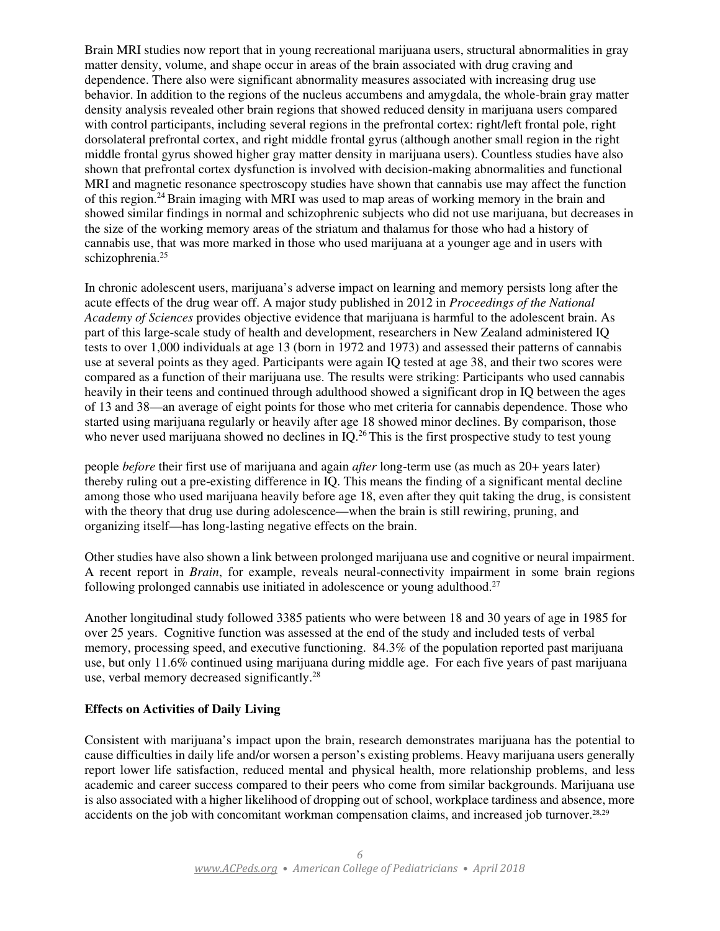Brain MRI studies now report that in young recreational marijuana users, structural abnormalities in gray matter density, volume, and shape occur in areas of the brain associated with drug craving and dependence. There also were significant abnormality measures associated with increasing drug use behavior. In addition to the regions of the nucleus accumbens and amygdala, the whole-brain gray matter density analysis revealed other brain regions that showed reduced density in marijuana users compared with control participants, including several regions in the prefrontal cortex: right/left frontal pole, right dorsolateral prefrontal cortex, and right middle frontal gyrus (although another small region in the right middle frontal gyrus showed higher gray matter density in marijuana users). Countless studies have also shown that prefrontal cortex dysfunction is involved with decision-making abnormalities and functional MRI and magnetic resonance spectroscopy studies have shown that cannabis use may affect the function of this region.<sup>24</sup> Brain imaging with MRI was used to map areas of working memory in the brain and showed similar findings in normal and schizophrenic subjects who did not use marijuana, but decreases in the size of the working memory areas of the striatum and thalamus for those who had a history of cannabis use, that was more marked in those who used marijuana at a younger age and in users with schizophrenia.<sup>25</sup>

In chronic adolescent users, marijuana's adverse impact on learning and memory persists long after the acute effects of the drug wear off. A major study published in 2012 in *Proceedings of the National Academy of Sciences* provides objective evidence that marijuana is harmful to the adolescent brain. As part of this large-scale study of health and development, researchers in New Zealand administered IQ tests to over 1,000 individuals at age 13 (born in 1972 and 1973) and assessed their patterns of cannabis use at several points as they aged. Participants were again IQ tested at age 38, and their two scores were compared as a function of their marijuana use. The results were striking: Participants who used cannabis heavily in their teens and continued through adulthood showed a significant drop in IQ between the ages of 13 and 38—an average of eight points for those who met criteria for cannabis dependence. Those who started using marijuana regularly or heavily after age 18 showed minor declines. By comparison, those who never used marijuana showed no declines in IQ.<sup>26</sup>This is the first prospective study to test young

people *before* their first use of marijuana and again *after* long-term use (as much as 20+ years later) thereby ruling out a pre-existing difference in IQ. This means the finding of a significant mental decline among those who used marijuana heavily before age 18, even after they quit taking the drug, is consistent with the theory that drug use during adolescence—when the brain is still rewiring, pruning, and organizing itself—has long-lasting negative effects on the brain.

Other studies have also shown a link between prolonged marijuana use and cognitive or neural impairment. A recent report in *Brain*, for example, reveals neural-connectivity impairment in some brain regions following prolonged cannabis use initiated in adolescence or young adulthood.<sup>27</sup>

Another longitudinal study followed 3385 patients who were between 18 and 30 years of age in 1985 for over 25 years. Cognitive function was assessed at the end of the study and included tests of verbal memory, processing speed, and executive functioning. 84.3% of the population reported past marijuana use, but only 11.6% continued using marijuana during middle age. For each five years of past marijuana use, verbal memory decreased significantly.<sup>28</sup>

# **Effects on Activities of Daily Living**

Consistent with marijuana's impact upon the brain, research demonstrates marijuana has the potential to cause difficulties in daily life and/or worsen a person's existing problems. Heavy marijuana users generally report lower life satisfaction, reduced mental and physical health, more relationship problems, and less academic and career success compared to their peers who come from similar backgrounds. Marijuana use is also associated with a higher likelihood of dropping out of school, workplace tardiness and absence, more accidents on the job with concomitant workman compensation claims, and increased job turnover. 28,29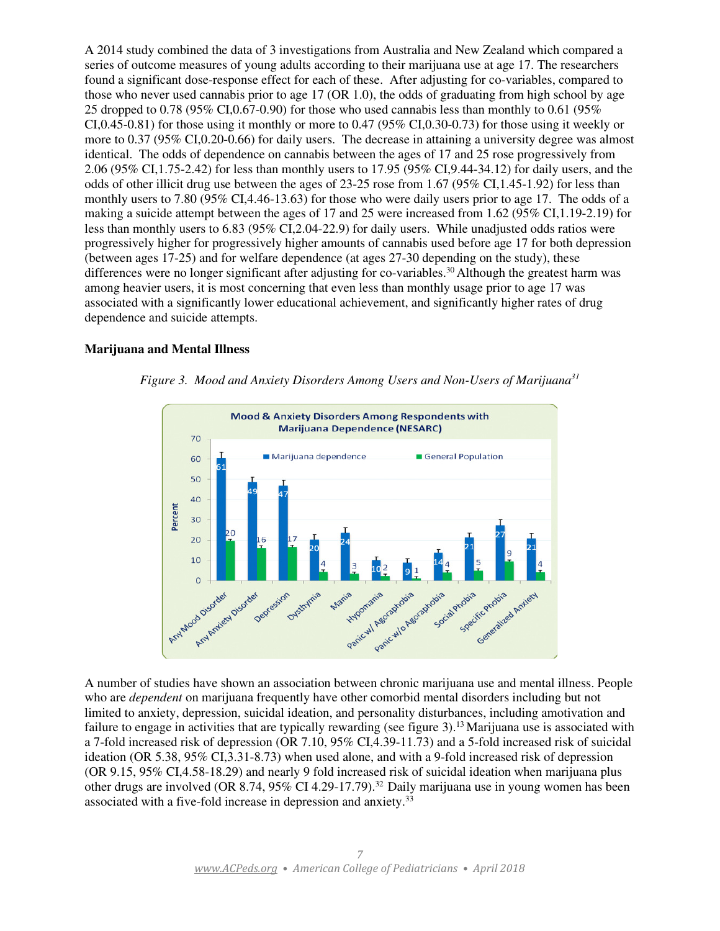A 2014 study combined the data of 3 investigations from Australia and New Zealand which compared a series of outcome measures of young adults according to their marijuana use at age 17. The researchers found a significant dose-response effect for each of these. After adjusting for co-variables, compared to those who never used cannabis prior to age 17 (OR 1.0), the odds of graduating from high school by age 25 dropped to 0.78 (95% CI,0.67-0.90) for those who used cannabis less than monthly to 0.61 (95% CI,0.45-0.81) for those using it monthly or more to 0.47 (95% CI,0.30-0.73) for those using it weekly or more to 0.37 (95% CI,0.20-0.66) for daily users. The decrease in attaining a university degree was almost identical. The odds of dependence on cannabis between the ages of 17 and 25 rose progressively from 2.06 (95% CI,1.75-2.42) for less than monthly users to 17.95 (95% CI,9.44-34.12) for daily users, and the odds of other illicit drug use between the ages of 23-25 rose from 1.67 (95% CI, 1.45-1.92) for less than monthly users to 7.80 (95% CI,4.46-13.63) for those who were daily users prior to age 17. The odds of a making a suicide attempt between the ages of 17 and 25 were increased from 1.62 (95% CI,1.19-2.19) for less than monthly users to 6.83 (95% CI,2.04-22.9) for daily users. While unadjusted odds ratios were progressively higher for progressively higher amounts of cannabis used before age 17 for both depression (between ages 17-25) and for welfare dependence (at ages 27-30 depending on the study), these differences were no longer significant after adjusting for co-variables.<sup>30</sup> Although the greatest harm was among heavier users, it is most concerning that even less than monthly usage prior to age 17 was associated with a significantly lower educational achievement, and significantly higher rates of drug dependence and suicide attempts.

#### **Marijuana and Mental Illness**



*Figure 3. Mood and Anxiety Disorders Among Users and Non-Users of Marijuana<sup>31</sup>*

A number of studies have shown an association between chronic marijuana use and mental illness. People who are *dependent* on marijuana frequently have other comorbid mental disorders including but not limited to anxiety, depression, suicidal ideation, and personality disturbances, including amotivation and failure to engage in activities that are typically rewarding (see figure 3).<sup>13</sup> Marijuana use is associated with a 7-fold increased risk of depression (OR 7.10, 95% CI,4.39-11.73) and a 5-fold increased risk of suicidal ideation (OR 5.38, 95% CI,3.31-8.73) when used alone, and with a 9-fold increased risk of depression (OR 9.15, 95% CI,4.58-18.29) and nearly 9 fold increased risk of suicidal ideation when marijuana plus other drugs are involved (OR 8.74, 95% CI 4.29-17.79).<sup>32</sup> Daily marijuana use in young women has been associated with a five-fold increase in depression and anxiety.33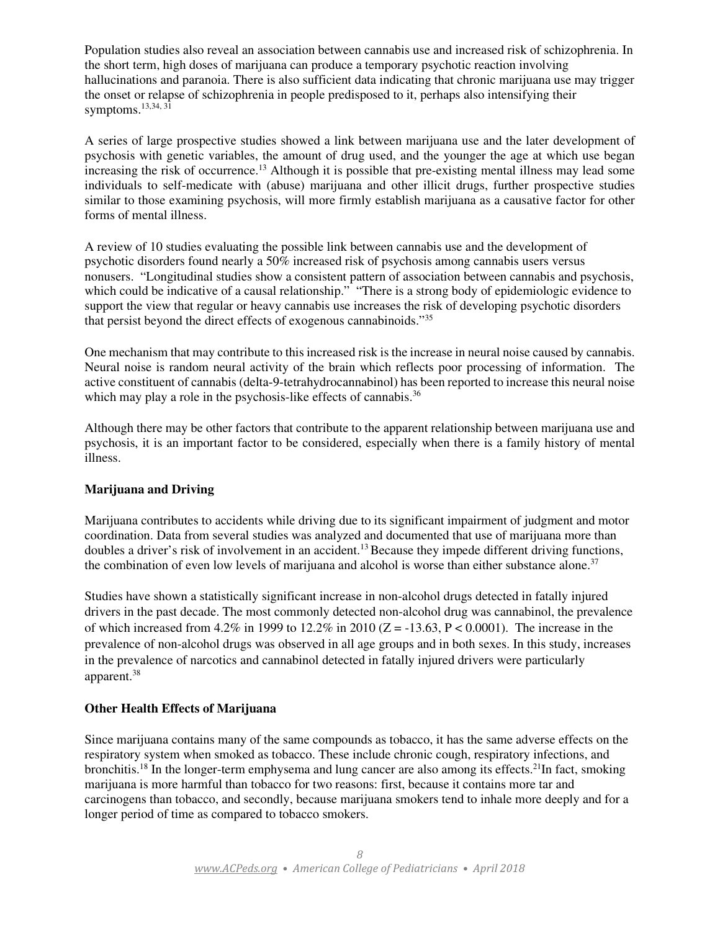Population studies also reveal an association between cannabis use and increased risk of schizophrenia. In the short term, high doses of marijuana can produce a temporary psychotic reaction involving hallucinations and paranoia. There is also sufficient data indicating that chronic marijuana use may trigger the onset or relapse of schizophrenia in people predisposed to it, perhaps also intensifying their symptoms. $13,34,31$ 

A series of large prospective studies showed a link between marijuana use and the later development of psychosis with genetic variables, the amount of drug used, and the younger the age at which use began increasing the risk of occurrence.<sup>13</sup> Although it is possible that pre-existing mental illness may lead some individuals to self-medicate with (abuse) marijuana and other illicit drugs, further prospective studies similar to those examining psychosis, will more firmly establish marijuana as a causative factor for other forms of mental illness.

A review of 10 studies evaluating the possible link between cannabis use and the development of psychotic disorders found nearly a 50% increased risk of psychosis among cannabis users versus nonusers. "Longitudinal studies show a consistent pattern of association between cannabis and psychosis, which could be indicative of a causal relationship." "There is a strong body of epidemiologic evidence to support the view that regular or heavy cannabis use increases the risk of developing psychotic disorders that persist beyond the direct effects of exogenous cannabinoids."<sup>35</sup>

One mechanism that may contribute to this increased risk is the increase in neural noise caused by cannabis. Neural noise is random neural activity of the brain which reflects poor processing of information. The active constituent of cannabis (delta-9-tetrahydrocannabinol) has been reported to increase this neural noise which may play a role in the psychosis-like effects of cannabis.<sup>36</sup>

Although there may be other factors that contribute to the apparent relationship between marijuana use and psychosis, it is an important factor to be considered, especially when there is a family history of mental illness.

# **Marijuana and Driving**

Marijuana contributes to accidents while driving due to its significant impairment of judgment and motor coordination. Data from several studies was analyzed and documented that use of marijuana more than doubles a driver's risk of involvement in an accident.<sup>13</sup> Because they impede different driving functions, the combination of even low levels of marijuana and alcohol is worse than either substance alone.<sup>37</sup>

Studies have shown a statistically significant increase in non-alcohol drugs detected in fatally injured drivers in the past decade. The most commonly detected non-alcohol drug was cannabinol, the prevalence of which increased from 4.2% in 1999 to 12.2% in 2010 ( $Z = -13.63$ ,  $P < 0.0001$ ). The increase in the prevalence of non-alcohol drugs was observed in all age groups and in both sexes. In this study, increases in the prevalence of narcotics and cannabinol detected in fatally injured drivers were particularly apparent.<sup>38</sup>

# **Other Health Effects of Marijuana**

Since marijuana contains many of the same compounds as tobacco, it has the same adverse effects on the respiratory system when smoked as tobacco. These include chronic cough, respiratory infections, and bronchitis.<sup>18</sup> In the longer-term emphysema and lung cancer are also among its effects.<sup>21</sup>In fact, smoking marijuana is more harmful than tobacco for two reasons: first, because it contains more tar and carcinogens than tobacco, and secondly, because marijuana smokers tend to inhale more deeply and for a longer period of time as compared to tobacco smokers.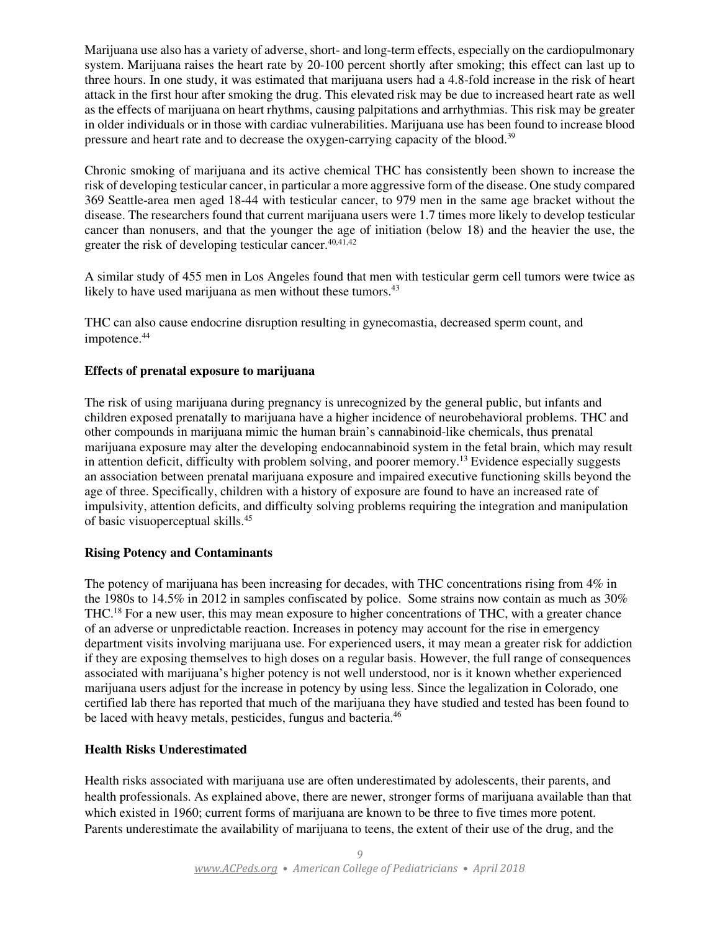Marijuana use also has a variety of adverse, short- and long-term effects, especially on the cardiopulmonary system. Marijuana raises the heart rate by 20-100 percent shortly after smoking; this effect can last up to three hours. In one study, it was estimated that marijuana users had a 4.8-fold increase in the risk of heart attack in the first hour after smoking the drug. This elevated risk may be due to increased heart rate as well as the effects of marijuana on heart rhythms, causing palpitations and arrhythmias. This risk may be greater in older individuals or in those with cardiac vulnerabilities. Marijuana use has been found to increase blood pressure and heart rate and to decrease the oxygen-carrying capacity of the blood.<sup>39</sup>

Chronic smoking of marijuana and its active chemical THC has consistently been shown to increase the risk of developing testicular cancer, in particular a more aggressive form of the disease. One study compared 369 Seattle-area men aged 18-44 with testicular cancer, to 979 men in the same age bracket without the disease. The researchers found that current marijuana users were 1.7 times more likely to develop testicular cancer than nonusers, and that the younger the age of initiation (below 18) and the heavier the use, the greater the risk of developing testicular cancer.<sup>40,41,42</sup>

A similar study of 455 men in Los Angeles found that men with testicular germ cell tumors were twice as likely to have used marijuana as men without these tumors.<sup>43</sup>

THC can also cause endocrine disruption resulting in gynecomastia, decreased sperm count, and impotence.<sup>44</sup>

# **Effects of prenatal exposure to marijuana**

The risk of using marijuana during pregnancy is unrecognized by the general public, but infants and children exposed prenatally to marijuana have a higher incidence of neurobehavioral problems. THC and other compounds in marijuana mimic the human brain's cannabinoid-like chemicals, thus prenatal marijuana exposure may alter the developing endocannabinoid system in the fetal brain, which may result in attention deficit, difficulty with problem solving, and poorer memory.<sup>13</sup> Evidence especially suggests an association between prenatal marijuana exposure and impaired executive functioning skills beyond the age of three. Specifically, children with a history of exposure are found to have an increased rate of impulsivity, attention deficits, and difficulty solving problems requiring the integration and manipulation of basic visuoperceptual skills.<sup>45</sup>

# **Rising Potency and Contaminants**

The potency of marijuana has been increasing for decades, with THC concentrations rising from 4% in the 1980s to 14.5% in 2012 in samples confiscated by police. Some strains now contain as much as 30% THC.<sup>18</sup> For a new user, this may mean exposure to higher concentrations of THC, with a greater chance of an adverse or unpredictable reaction. Increases in potency may account for the rise in emergency department visits involving marijuana use. For experienced users, it may mean a greater risk for addiction if they are exposing themselves to high doses on a regular basis. However, the full range of consequences associated with marijuana's higher potency is not well understood, nor is it known whether experienced marijuana users adjust for the increase in potency by using less. Since the legalization in Colorado, one certified lab there has reported that much of the marijuana they have studied and tested has been found to be laced with heavy metals, pesticides, fungus and bacteria.<sup>46</sup>

# **Health Risks Underestimated**

Health risks associated with marijuana use are often underestimated by adolescents, their parents, and health professionals. As explained above, there are newer, stronger forms of marijuana available than that which existed in 1960; current forms of marijuana are known to be three to five times more potent. Parents underestimate the availability of marijuana to teens, the extent of their use of the drug, and the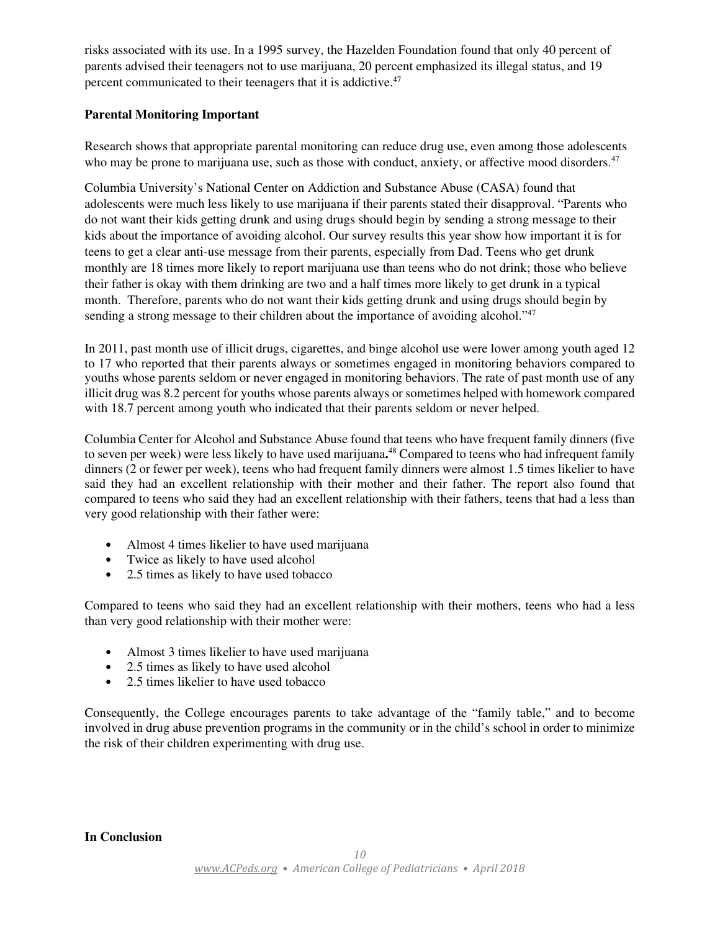risks associated with its use. In a 1995 survey, the Hazelden Foundation found that only 40 percent of parents advised their teenagers not to use marijuana, 20 percent emphasized its illegal status, and 19 percent communicated to their teenagers that it is addictive.<sup>47</sup>

# **Parental Monitoring Important**

Research shows that appropriate parental monitoring can reduce drug use, even among those adolescents who may be prone to marijuana use, such as those with conduct, anxiety, or affective mood disorders.<sup>47</sup>

Columbia University's National Center on Addiction and Substance Abuse (CASA) found that adolescents were much less likely to use marijuana if their parents stated their disapproval. "Parents who do not want their kids getting drunk and using drugs should begin by sending a strong message to their kids about the importance of avoiding alcohol. Our survey results this year show how important it is for teens to get a clear anti-use message from their parents, especially from Dad. Teens who get drunk monthly are 18 times more likely to report marijuana use than teens who do not drink; those who believe their father is okay with them drinking are two and a half times more likely to get drunk in a typical month. Therefore, parents who do not want their kids getting drunk and using drugs should begin by sending a strong message to their children about the importance of avoiding alcohol."<sup>47</sup>

In 2011, past month use of illicit drugs, cigarettes, and binge alcohol use were lower among youth aged 12 to 17 who reported that their parents always or sometimes engaged in monitoring behaviors compared to youths whose parents seldom or never engaged in monitoring behaviors. The rate of past month use of any illicit drug was 8.2 percent for youths whose parents always or sometimes helped with homework compared with 18.7 percent among youth who indicated that their parents seldom or never helped.

Columbia Center for Alcohol and Substance Abuse found that teens who have frequent family dinners (five to seven per week) were less likely to have used marijuana**.** <sup>48</sup> Compared to teens who had infrequent family dinners (2 or fewer per week), teens who had frequent family dinners were almost 1.5 times likelier to have said they had an excellent relationship with their mother and their father. The report also found that compared to teens who said they had an excellent relationship with their fathers, teens that had a less than very good relationship with their father were:

- Almost 4 times likelier to have used marijuana
- Twice as likely to have used alcohol
- 2.5 times as likely to have used tobacco

Compared to teens who said they had an excellent relationship with their mothers, teens who had a less than very good relationship with their mother were:

- Almost 3 times likelier to have used marijuana
- 2.5 times as likely to have used alcohol
- 2.5 times likelier to have used tobacco

Consequently, the College encourages parents to take advantage of the "family table," and to become involved in drug abuse prevention programs in the community or in the child's school in order to minimize the risk of their children experimenting with drug use.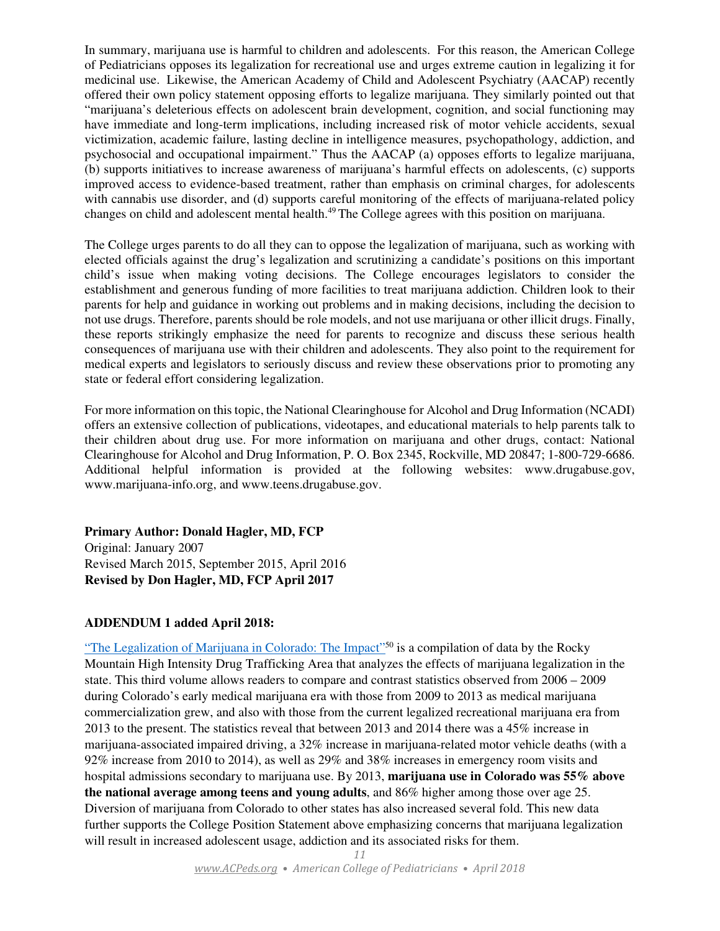In summary, marijuana use is harmful to children and adolescents. For this reason, the American College of Pediatricians opposes its legalization for recreational use and urges extreme caution in legalizing it for medicinal use. Likewise, the American Academy of Child and Adolescent Psychiatry (AACAP) recently offered their own policy statement opposing efforts to legalize marijuana. They similarly pointed out that "marijuana's deleterious effects on adolescent brain development, cognition, and social functioning may have immediate and long-term implications, including increased risk of motor vehicle accidents, sexual victimization, academic failure, lasting decline in intelligence measures, psychopathology, addiction, and psychosocial and occupational impairment." Thus the AACAP (a) opposes efforts to legalize marijuana, (b) supports initiatives to increase awareness of marijuana's harmful effects on adolescents, (c) supports improved access to evidence-based treatment, rather than emphasis on criminal charges, for adolescents with cannabis use disorder, and (d) supports careful monitoring of the effects of marijuana-related policy changes on child and adolescent mental health.<sup>49</sup> The College agrees with this position on marijuana.

The College urges parents to do all they can to oppose the legalization of marijuana, such as working with elected officials against the drug's legalization and scrutinizing a candidate's positions on this important child's issue when making voting decisions. The College encourages legislators to consider the establishment and generous funding of more facilities to treat marijuana addiction. Children look to their parents for help and guidance in working out problems and in making decisions, including the decision to not use drugs. Therefore, parents should be role models, and not use marijuana or other illicit drugs. Finally, these reports strikingly emphasize the need for parents to recognize and discuss these serious health consequences of marijuana use with their children and adolescents. They also point to the requirement for medical experts and legislators to seriously discuss and review these observations prior to promoting any state or federal effort considering legalization.

For more information on this topic, the National Clearinghouse for Alcohol and Drug Information (NCADI) offers an extensive collection of publications, videotapes, and educational materials to help parents talk to their children about drug use. For more information on marijuana and other drugs, contact: National Clearinghouse for Alcohol and Drug Information, P. O. Box 2345, Rockville, MD 20847; 1-800-729-6686. Additional helpful information is provided at the following websites: www.drugabuse.gov, www.marijuana-info.org, and www.teens.drugabuse.gov.

**Primary Author: Donald Hagler, MD, FCP** Original: January 2007 Revised March 2015, September 2015, April 2016 **Revised by Don Hagler, MD, FCP April 2017**

# **ADDENDUM 1 added April 2018:**

"The Legalization of Marijuana in Colorado: The Impact<sup>"50</sup> is a compilation of data by the Rocky Mountain High Intensity Drug Trafficking Area that analyzes the effects of marijuana legalization in the state. This third volume allows readers to compare and contrast statistics observed from 2006 – 2009 during Colorado's early medical marijuana era with those from 2009 to 2013 as medical marijuana commercialization grew, and also with those from the current legalized recreational marijuana era from 2013 to the present. The statistics reveal that between 2013 and 2014 there was a 45% increase in marijuana-associated impaired driving, a 32% increase in marijuana-related motor vehicle deaths (with a 92% increase from 2010 to 2014), as well as 29% and 38% increases in emergency room visits and hospital admissions secondary to marijuana use. By 2013, **marijuana use in Colorado was 55% above the national average among teens and young adults**, and 86% higher among those over age 25. Diversion of marijuana from Colorado to other states has also increased several fold. This new data further supports the College Position Statement above emphasizing concerns that marijuana legalization will result in increased adolescent usage, addiction and its associated risks for them.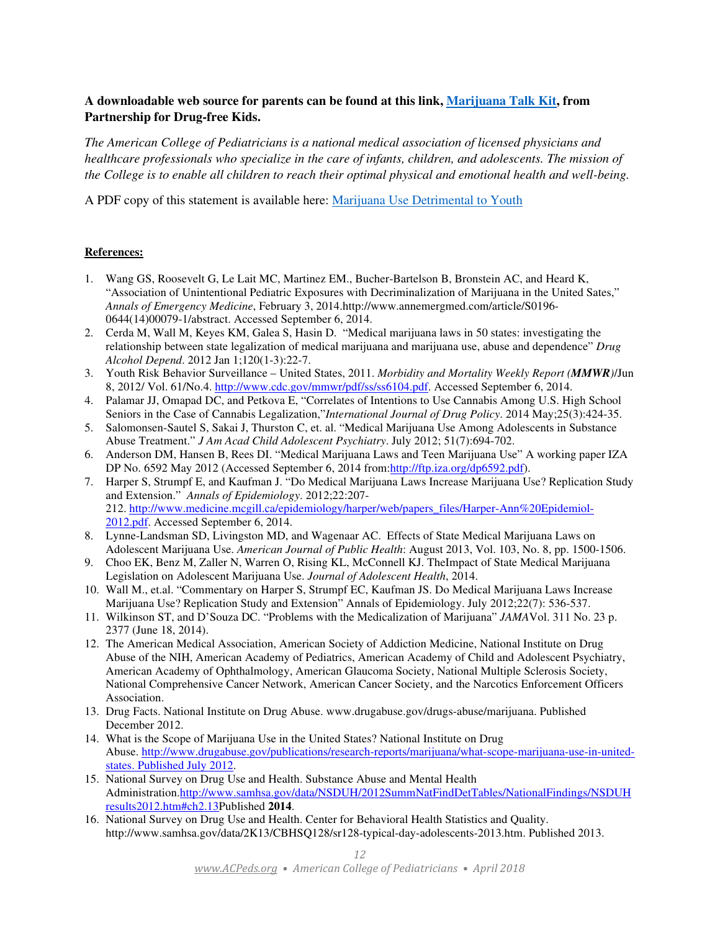# **A downloadable web source for parents can be found at this link, Marijuana Talk Kit, from Partnership for Drug-free Kids.**

*The American College of Pediatricians is a national medical association of licensed physicians and healthcare professionals who specialize in the care of infants, children, and adolescents. The mission of the College is to enable all children to reach their optimal physical and emotional health and well-being.*

A PDF copy of this statement is available here: Marijuana Use Detrimental to Youth

#### **References:**

- 1. Wang GS, Roosevelt G, Le Lait MC, Martinez EM., Bucher-Bartelson B, Bronstein AC, and Heard K, "Association of Unintentional Pediatric Exposures with Decriminalization of Marijuana in the United Sates," *Annals of Emergency Medicine*, February 3, 2014.http://www.annemergmed.com/article/S0196- 0644(14)00079-1/abstract. Accessed September 6, 2014.
- 2. Cerda M, Wall M, Keyes KM, Galea S, Hasin D. "Medical marijuana laws in 50 states: investigating the relationship between state legalization of medical marijuana and marijuana use, abuse and dependence" *Drug Alcohol Depend*. 2012 Jan 1;120(1-3):22-7.
- 3. Youth Risk Behavior Surveillance United States, 2011. *Morbidity and Mortality Weekly Report (MMWR)*/Jun 8, 2012/ Vol. 61/No.4. http://www.cdc.gov/mmwr/pdf/ss/ss6104.pdf. Accessed September 6, 2014.
- 4. Palamar JJ, Omapad DC, and Petkova E, "Correlates of Intentions to Use Cannabis Among U.S. High School Seniors in the Case of Cannabis Legalization,"*International Journal of Drug Policy*. 2014 May;25(3):424-35.
- 5. Salomonsen-Sautel S, Sakai J, Thurston C, et. al. "Medical Marijuana Use Among Adolescents in Substance Abuse Treatment." *J Am Acad Child Adolescent Psychiatry*. July 2012; 51(7):694-702.
- 6. Anderson DM, Hansen B, Rees DI. "Medical Marijuana Laws and Teen Marijuana Use" A working paper IZA DP No. 6592 May 2012 (Accessed September 6, 2014 from:http://ftp.iza.org/dp6592.pdf).
- 7. Harper S, Strumpf E, and Kaufman J. "Do Medical Marijuana Laws Increase Marijuana Use? Replication Study and Extension." *Annals of Epidemiology*. 2012;22:207- 212. http://www.medicine.mcgill.ca/epidemiology/harper/web/papers\_files/Harper-Ann%20Epidemiol-2012.pdf. Accessed September 6, 2014.
- 8. Lynne-Landsman SD, Livingston MD, and Wagenaar AC. Effects of State Medical Marijuana Laws on Adolescent Marijuana Use. *American Journal of Public Health*: August 2013, Vol. 103, No. 8, pp. 1500-1506.
- 9. Choo EK, Benz M, Zaller N, Warren O, Rising KL, McConnell KJ. TheImpact of State Medical Marijuana Legislation on Adolescent Marijuana Use. *Journal of Adolescent Health*, 2014.
- 10. Wall M., et.al. "Commentary on Harper S, Strumpf EC, Kaufman JS. Do Medical Marijuana Laws Increase Marijuana Use? Replication Study and Extension" Annals of Epidemiology. July 2012;22(7): 536-537.
- 11. Wilkinson ST, and D'Souza DC. "Problems with the Medicalization of Marijuana" *JAMA*Vol. 311 No. 23 p. 2377 (June 18, 2014).
- 12. The American Medical Association, American Society of Addiction Medicine, National Institute on Drug Abuse of the NIH, American Academy of Pediatrics, American Academy of Child and Adolescent Psychiatry, American Academy of Ophthalmology, American Glaucoma Society, National Multiple Sclerosis Society, National Comprehensive Cancer Network, American Cancer Society, and the Narcotics Enforcement Officers Association.
- 13. Drug Facts. National Institute on Drug Abuse. www.drugabuse.gov/drugs-abuse/marijuana. Published December 2012.
- 14. What is the Scope of Marijuana Use in the United States? National Institute on Drug Abuse. http://www.drugabuse.gov/publications/research-reports/marijuana/what-scope-marijuana-use-in-unitedstates. Published July 2012.
- 15. National Survey on Drug Use and Health. Substance Abuse and Mental Health Administration.http://www.samhsa.gov/data/NSDUH/2012SummNatFindDetTables/NationalFindings/NSDUH results2012.htm#ch2.13Published **2014**.
- 16. National Survey on Drug Use and Health. Center for Behavioral Health Statistics and Quality. http://www.samhsa.gov/data/2K13/CBHSQ128/sr128-typical-day-adolescents-2013.htm. Published 2013.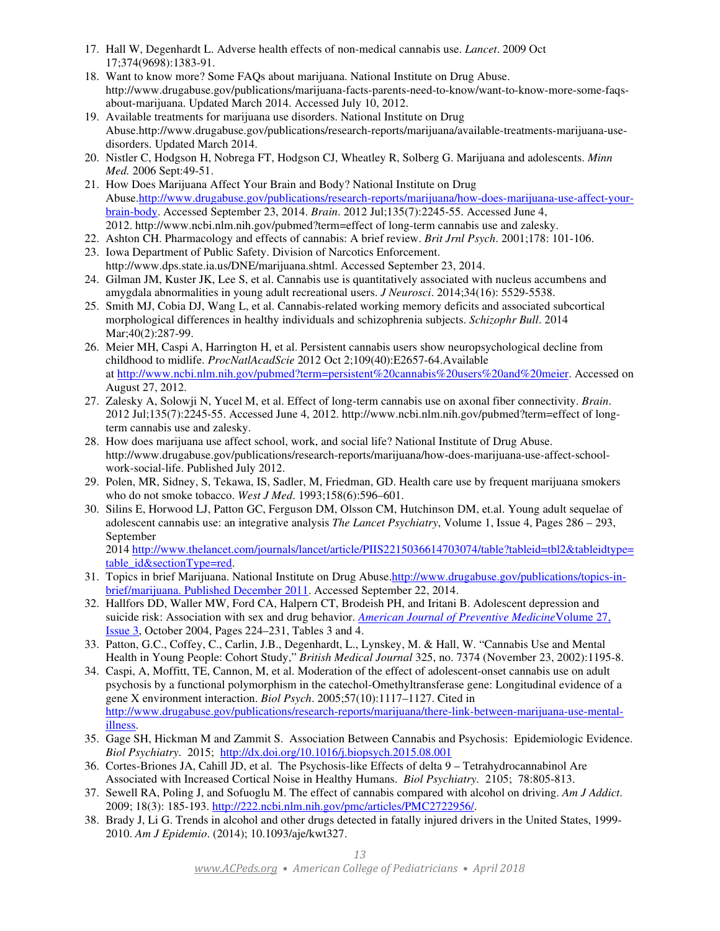- 17. Hall W, Degenhardt L. Adverse health effects of non-medical cannabis use. *Lancet*. 2009 Oct 17;374(9698):1383-91.
- 18. Want to know more? Some FAQs about marijuana. National Institute on Drug Abuse. http://www.drugabuse.gov/publications/marijuana-facts-parents-need-to-know/want-to-know-more-some-faqsabout-marijuana. Updated March 2014. Accessed July 10, 2012.
- 19. Available treatments for marijuana use disorders. National Institute on Drug Abuse.http://www.drugabuse.gov/publications/research-reports/marijuana/available-treatments-marijuana-usedisorders. Updated March 2014.
- 20. Nistler C, Hodgson H, Nobrega FT, Hodgson CJ, Wheatley R, Solberg G. Marijuana and adolescents. *Minn Med.* 2006 Sept:49-51.
- 21. How Does Marijuana Affect Your Brain and Body? National Institute on Drug Abuse.http://www.drugabuse.gov/publications/research-reports/marijuana/how-does-marijuana-use-affect-yourbrain-body. Accessed September 23, 2014. *Brain*. 2012 Jul;135(7):2245-55. Accessed June 4, 2012. http://www.ncbi.nlm.nih.gov/pubmed?term=effect of long-term cannabis use and zalesky.
- 22. Ashton CH. Pharmacology and effects of cannabis: A brief review. *Brit Jrnl Psych*. 2001;178: 101-106.
- 23. Iowa Department of Public Safety. Division of Narcotics Enforcement. http://www.dps.state.ia.us/DNE/marijuana.shtml. Accessed September 23, 2014.
- 24. Gilman JM, Kuster JK, Lee S, et al. Cannabis use is quantitatively associated with nucleus accumbens and amygdala abnormalities in young adult recreational users. *J Neurosci*. 2014;34(16): 5529-5538.
- 25. Smith MJ, Cobia DJ, Wang L, et al. Cannabis-related working memory deficits and associated subcortical morphological differences in healthy individuals and schizophrenia subjects. *Schizophr Bull*. 2014 Mar; 40(2): 287-99.
- 26. Meier MH, Caspi A, Harrington H, et al. Persistent cannabis users show neuropsychological decline from childhood to midlife. *ProcNatlAcadScie* 2012 Oct 2;109(40):E2657-64.Available at http://www.ncbi.nlm.nih.gov/pubmed?term=persistent%20cannabis%20users%20and%20meier. Accessed on August 27, 2012.
- 27. Zalesky A, Solowji N, Yucel M, et al. Effect of long-term cannabis use on axonal fiber connectivity. *Brain*. 2012 Jul;135(7):2245-55. Accessed June 4, 2012. http://www.ncbi.nlm.nih.gov/pubmed?term=effect of longterm cannabis use and zalesky.
- 28. How does marijuana use affect school, work, and social life? National Institute of Drug Abuse. http://www.drugabuse.gov/publications/research-reports/marijuana/how-does-marijuana-use-affect-schoolwork-social-life. Published July 2012.
- 29. Polen, MR, Sidney, S, Tekawa, IS, Sadler, M, Friedman, GD. Health care use by frequent marijuana smokers who do not smoke tobacco. *West J Med*. 1993;158(6):596–601.
- 30. Silins E, Horwood LJ, Patton GC, Ferguson DM, Olsson CM, Hutchinson DM, et.al. Young adult sequelae of adolescent cannabis use: an integrative analysis *The Lancet Psychiatry*, Volume 1, Issue 4, Pages 286 – 293, September

2014 http://www.thelancet.com/journals/lancet/article/PIIS2215036614703074/table?tableid=tbl2&tableidtype= table\_id&sectionType=red.

- 31. Topics in brief Marijuana. National Institute on Drug Abuse.http://www.drugabuse.gov/publications/topics-inbrief/marijuana. Published December 2011. Accessed September 22, 2014.
- 32. Hallfors DD, Waller MW, Ford CA, Halpern CT, Brodeish PH, and Iritani B. Adolescent depression and suicide risk: Association with sex and drug behavior. *American Journal of Preventive Medicine*Volume 27, Issue 3, October 2004, Pages 224–231, Tables 3 and 4.
- 33. Patton, G.C., Coffey, C., Carlin, J.B., Degenhardt, L., Lynskey, M. & Hall, W. "Cannabis Use and Mental Health in Young People: Cohort Study," *British Medical Journal* 325, no. 7374 (November 23, 2002):1195-8.
- 34. Caspi, A, Moffitt, TE, Cannon, M, et al. Moderation of the effect of adolescent-onset cannabis use on adult psychosis by a functional polymorphism in the catechol-Omethyltransferase gene: Longitudinal evidence of a gene X environment interaction. *Biol Psych*. 2005;57(10):1117–1127. Cited in http://www.drugabuse.gov/publications/research-reports/marijuana/there-link-between-marijuana-use-mentalillness.
- 35. Gage SH, Hickman M and Zammit S. Association Between Cannabis and Psychosis: Epidemiologic Evidence. *Biol Psychiatry*. 2015; http://dx.doi.org/10.1016/j.biopsych.2015.08.001
- 36. Cortes-Briones JA, Cahill JD, et al. The Psychosis-like Effects of delta 9 Tetrahydrocannabinol Are Associated with Increased Cortical Noise in Healthy Humans. *Biol Psychiatry*. 2105; 78:805-813.
- 37. Sewell RA, Poling J, and Sofuoglu M. The effect of cannabis compared with alcohol on driving. *Am J Addict*. 2009; 18(3): 185-193. http://222.ncbi.nlm.nih.gov/pmc/articles/PMC2722956/.
- 38. Brady J, Li G. Trends in alcohol and other drugs detected in fatally injured drivers in the United States, 1999- 2010. *Am J Epidemio*. (2014); 10.1093/aje/kwt327.